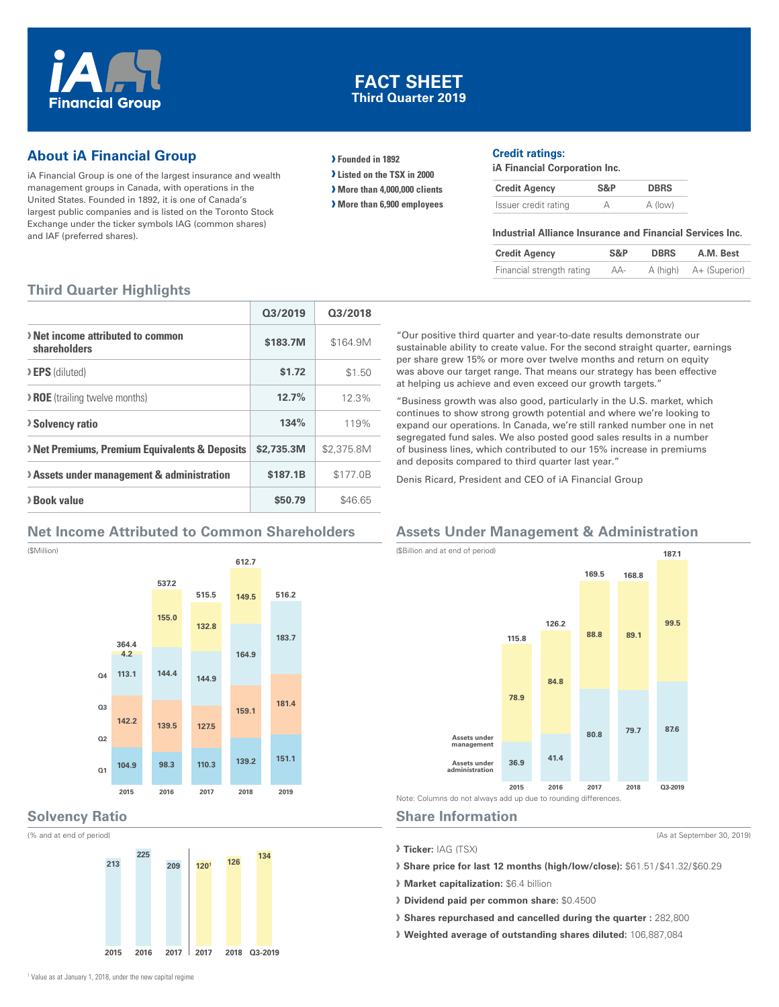

# **FACT SHEET Third Quarter 2019**

# **About iA Financial Group**

iA Financial Group is one of the largest insurance and wealth management groups in Canada, with operations in the United States. Founded in 1892, it is one of Canada's largest public companies and is listed on the Toronto Stock Exchange under the ticker symbols IAG (common shares) and IAF (preferred shares).

**› Founded in 1892**

**› Listed on the TSX in 2000**

**› More than 4,000,000 clients**

**› More than 6,900 employees**

#### **Credit ratings:**

**iA Financial Corporation Inc.**

| <b>Credit Agency</b> | S&P | <b>DBRS</b> |
|----------------------|-----|-------------|
| Issuer credit rating |     | A (low)     |

#### **Industrial Alliance Insurance and Financial Services Inc.**

| <b>Credit Agency</b>      | S&P | <b>DBRS</b> | A.M. Best              |
|---------------------------|-----|-------------|------------------------|
| Financial strength rating | AA- |             | A (high) A+ (Superior) |

# **Third Quarter Highlights**

|                                                          | 03/2019    | 03/2018    |
|----------------------------------------------------------|------------|------------|
| > Net income attributed to common<br>shareholders        | \$183.7M   | \$164.9M   |
| > EPS (diluted)                                          | \$1.72     | \$1.50     |
| <b>&gt; ROE</b> (trailing twelve months)                 | 12.7%      | 12.3%      |
| <b>Solvency ratio</b>                                    | 134%       | 119%       |
| <b>Net Premiums, Premium Equivalents &amp; Deposits</b>  | \$2,735,3M | \$2,375.8M |
| <b>&gt; Assets under management &amp; administration</b> | \$187.1B   | \$177.0B   |
| > Book value                                             | \$50.79    | \$46.65    |

## **Net Income Attributed to Common Shareholders**

(\$Million)



## **Solvency Ratio**

(% and at end of period)



"Our positive third quarter and year-to-date results demonstrate our sustainable ability to create value. For the second straight quarter, earnings per share grew 15% or more over twelve months and return on equity was above our target range. That means our strategy has been effective at helping us achieve and even exceed our growth targets."

"Business growth was also good, particularly in the U.S. market, which continues to show strong growth potential and where we're looking to expand our operations. In Canada, we're still ranked number one in net segregated fund sales. We also posted good sales results in a number of business lines, which contributed to our 15% increase in premiums and deposits compared to third quarter last year."

Denis Ricard, President and CEO of iA Financial Group

# **Assets Under Management & Administration**



#### **Share Information**

**› Ticker:** IAG (TSX)

**› Share price for last 12 months (high/low/close):** \$61.51 / \$41.32/ \$60.29

(As at September 30, 2019)

**› Market capitalization:** \$6.4 billion

- **› Dividend paid per common share:** \$0.4500
- **› Shares repurchased and cancelled during the quarter :** 282,800
- **› Weighted average of outstanding shares diluted:** 106,887,084